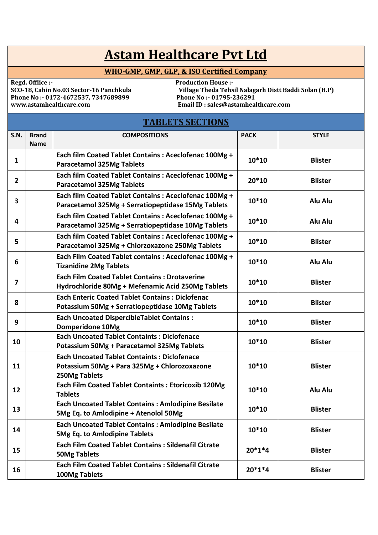## **Astam Healthcare Pvt Ltd**

## **WHO-GMP, GMP, GLP, & ISO Certified Company**

**Phone No :- 0172-4672537, 7347689899<br>www.astamhealthcare.com** 

Regd. Offiice :-<br>SCO-18, Cabin No.03 Sector-16 Panchkula Village Theda Tehs Village Theda Tehsil Nalagarh Distt Baddi Solan (H.P)<br>Phone No:- 01795-236291 **www.astamhealthcare.com Email ID : sales@astamhealthcare.com** 

## **TABLETS SECTIONS**

| <b>S.N.</b>             | <b>Brand</b><br><b>Name</b> | <b>COMPOSITIONS</b>                                                                                                 | <b>PACK</b> | <b>STYLE</b>   |
|-------------------------|-----------------------------|---------------------------------------------------------------------------------------------------------------------|-------------|----------------|
| 1                       |                             | Each film Coated Tablet Contains : Aceclofenac 100Mg +<br><b>Paracetamol 325Mg Tablets</b>                          | $10*10$     | <b>Blister</b> |
| $\overline{2}$          |                             | Each film Coated Tablet Contains : Aceclofenac 100Mg +<br><b>Paracetamol 325Mg Tablets</b>                          | $20*10$     | <b>Blister</b> |
| 3                       |                             | Each film Coated Tablet Contains : Aceclofenac 100Mg +<br>Paracetamol 325Mg + Serratiopeptidase 15Mg Tablets        | $10*10$     | Alu Alu        |
| 4                       |                             | Each film Coated Tablet Contains : Aceclofenac 100Mg +<br>Paracetamol 325Mg + Serratiopeptidase 10Mg Tablets        | $10*10$     | Alu Alu        |
| 5                       |                             | Each film Coated Tablet Contains : Aceclofenac 100Mg +<br>Paracetamol 325Mg + Chlorzoxazone 250Mg Tablets           | $10*10$     | <b>Blister</b> |
| 6                       |                             | Each Film Coated Tablet contains : Aceclofenac 100Mg +<br><b>Tizanidine 2Mg Tablets</b>                             | $10*10$     | Alu Alu        |
| $\overline{\mathbf{z}}$ |                             | <b>Each Film Coated Tablet Contains: Drotaverine</b><br>Hydrochloride 80Mg + Mefenamic Acid 250Mg Tablets           | $10*10$     | <b>Blister</b> |
| 8                       |                             | <b>Each Enteric Coated Tablet Contains: Diclofenac</b><br>Potassium 50Mg + Serratiopeptidase 10Mg Tablets           | $10*10$     | <b>Blister</b> |
| 9                       |                             | <b>Each Uncoated DispercibleTablet Contains:</b><br>Domperidone 10Mg                                                | $10*10$     | <b>Blister</b> |
| 10                      |                             | <b>Each Uncoated Tablet Containts: Diclofenace</b><br>Potassium 50Mg + Paracetamol 325Mg Tablets                    | $10*10$     | <b>Blister</b> |
| 11                      |                             | <b>Each Uncoated Tablet Containts: Diclofenace</b><br>Potassium 50Mg + Para 325Mg + Chlorozoxazone<br>250Mg Tablets | $10*10$     | <b>Blister</b> |
| 12                      |                             | Each Film Coated Tablet Containts : Etoricoxib 120Mg<br><b>Tablets</b>                                              | $10*10$     | Alu Alu        |
| 13                      |                             | <b>Each Uncoated Tablet Contains: Amlodipine Besilate</b><br>5Mg Eq. to Amlodipine + Atenolol 50Mg                  | 10*10       | <b>Blister</b> |
| 14                      |                             | <b>Each Uncoated Tablet Contains: Amlodipine Besilate</b><br>5Mg Eq. to Amlodipine Tablets                          | $10*10$     | <b>Blister</b> |
| 15                      |                             | <b>Each Film Coated Tablet Contains: Sildenafil Citrate</b><br><b>50Mg Tablets</b>                                  | $20*1*4$    | <b>Blister</b> |
| 16                      |                             | <b>Each Film Coated Tablet Contains: Sildenafil Citrate</b><br>100Mg Tablets                                        | $20*1*4$    | <b>Blister</b> |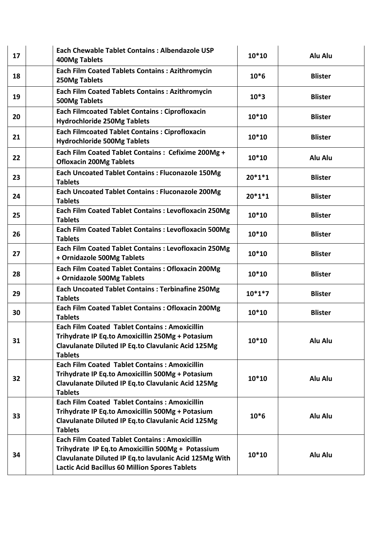| 17 | Each Chewable Tablet Contains: Albendazole USP<br><b>400Mg Tablets</b>                                                                                                                                                       | 10*10    | Alu Alu        |
|----|------------------------------------------------------------------------------------------------------------------------------------------------------------------------------------------------------------------------------|----------|----------------|
| 18 | <b>Each Film Coated Tablets Contains: Azithromycin</b><br>250Mg Tablets                                                                                                                                                      | $10*6$   | <b>Blister</b> |
| 19 | <b>Each Film Coated Tablets Contains: Azithromycin</b><br><b>500Mg Tablets</b>                                                                                                                                               | $10*3$   | <b>Blister</b> |
| 20 | <b>Each Filmcoated Tablet Contains: Ciprofloxacin</b><br><b>Hydrochloride 250Mg Tablets</b>                                                                                                                                  | 10*10    | <b>Blister</b> |
| 21 | <b>Each Filmcoated Tablet Contains: Ciprofloxacin</b><br><b>Hydrochloride 500Mg Tablets</b>                                                                                                                                  | 10*10    | <b>Blister</b> |
| 22 | Each Film Coated Tablet Contains : Cefixime 200Mg +<br><b>Ofloxacin 200Mg Tablets</b>                                                                                                                                        | 10*10    | Alu Alu        |
| 23 | <b>Each Uncoated Tablet Contains: Fluconazole 150Mg</b><br><b>Tablets</b>                                                                                                                                                    | $20*1*1$ | <b>Blister</b> |
| 24 | <b>Each Uncoated Tablet Contains: Fluconazole 200Mg</b><br><b>Tablets</b>                                                                                                                                                    | $20*1*1$ | <b>Blister</b> |
| 25 | Each Film Coated Tablet Contains : Levofloxacin 250Mg<br><b>Tablets</b>                                                                                                                                                      | 10*10    | <b>Blister</b> |
| 26 | <b>Each Film Coated Tablet Contains : Levofloxacin 500Mg</b><br><b>Tablets</b>                                                                                                                                               | 10*10    | <b>Blister</b> |
| 27 | Each Film Coated Tablet Contains : Levofloxacin 250Mg<br>+ Ornidazole 500Mg Tablets                                                                                                                                          | 10*10    | <b>Blister</b> |
| 28 | <b>Each Film Coated Tablet Contains: Ofloxacin 200Mg</b><br>+ Ornidazole 500Mg Tablets                                                                                                                                       | 10*10    | <b>Blister</b> |
| 29 | <b>Each Uncoated Tablet Contains: Terbinafine 250Mg</b><br><b>Tablets</b>                                                                                                                                                    | $10*1*7$ | <b>Blister</b> |
| 30 | Each Film Coated Tablet Contains: Ofloxacin 200Mg<br><b>Tablets</b>                                                                                                                                                          | $10*10$  | <b>Blister</b> |
| 31 | <b>Each Film Coated Tablet Contains: Amoxicillin</b><br>Trihydrate IP Eq.to Amoxicillin 250Mg + Potasium<br>Clavulanate Diluted IP Eq.to Clavulanic Acid 125Mg<br><b>Tablets</b>                                             | $10*10$  | Alu Alu        |
| 32 | <b>Each Film Coated Tablet Contains: Amoxicillin</b><br>Trihydrate IP Eq.to Amoxicillin 500Mg + Potasium<br>Clavulanate Diluted IP Eq.to Clavulanic Acid 125Mg<br><b>Tablets</b>                                             | $10*10$  | Alu Alu        |
| 33 | <b>Each Film Coated Tablet Contains: Amoxicillin</b><br>Trihydrate IP Eq.to Amoxicillin 500Mg + Potasium<br>Clavulanate Diluted IP Eq.to Clavulanic Acid 125Mg<br><b>Tablets</b>                                             | $10*6$   | Alu Alu        |
| 34 | <b>Each Film Coated Tablet Contains: Amoxicillin</b><br>Trihydrate IP Eq.to Amoxicillin 500Mg + Potassium<br>Clavulanate Diluted IP Eq.to lavulanic Acid 125Mg With<br><b>Lactic Acid Bacillus 60 Million Spores Tablets</b> | $10*10$  | Alu Alu        |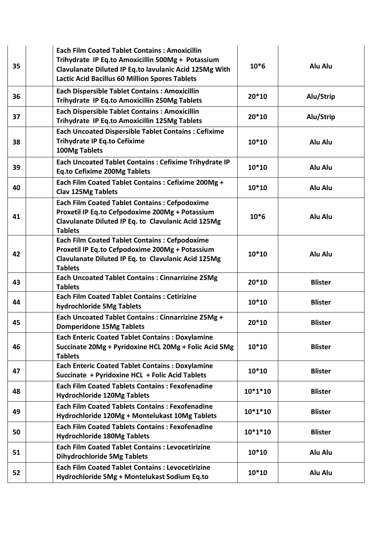| 35 | <b>Each Film Coated Tablet Contains: Amoxicillin</b><br>Trihydrate IP Eq.to Amoxicillin 500Mg + Potassium<br>Clavulanate Diluted IP Eq.to lavulanic Acid 125Mg With<br><b>Lactic Acid Bacillus 60 Million Spores Tablets</b> | $10*6$    | Alu Alu        |
|----|------------------------------------------------------------------------------------------------------------------------------------------------------------------------------------------------------------------------------|-----------|----------------|
| 36 | <b>Each Dispersible Tablet Contains: Amoxicillin</b><br>Trihydrate IP Eq.to Amoxicillin 250Mg Tablets                                                                                                                        | $20*10$   | Alu/Strip      |
| 37 | <b>Each Dispersible Tablet Contains: Amoxicillin</b><br>Trihydrate IP Eq.to Amoxicillin 125Mg Tablets                                                                                                                        | 20*10     | Alu/Strip      |
| 38 | <b>Each Uncoated Dispersible Tablet Contains: Cefixime</b><br><b>Trihydrate IP Eq.to Cefixime</b><br>100Mg Tablets                                                                                                           | $10*10$   | Alu Alu        |
| 39 | <b>Each Uncoated Tablet Contains: Cefixime Trihydrate IP</b><br><b>Eq.to Cefixime 200Mg Tablets</b>                                                                                                                          | $10*10$   | Alu Alu        |
| 40 | Each Film Coated Tablet Contains : Cefixime 200Mg +<br><b>Clav 125Mg Tablets</b>                                                                                                                                             | $10*10$   | Alu Alu        |
| 41 | <b>Each Film Coated Tablet Contains: Cefpodoxime</b><br>Proxetil IP Eq.to Cefpodoxime 200Mg + Potassium<br>Clavulanate Diluted IP Eq. to Clavulanic Acid 125Mg<br><b>Tablets</b>                                             | $10*6$    | Alu Alu        |
| 42 | <b>Each Film Coated Tablet Contains: Cefpodoxime</b><br>Proxetil IP Eq.to Cefpodoxime 200Mg + Potassium<br>Clavulanate Diluted IP Eq. to Clavulanic Acid 125Mg<br><b>Tablets</b>                                             | $10*10$   | Alu Alu        |
| 43 | <b>Each Uncoated Tablet Contains: Cinnarrizine 25Mg</b><br><b>Tablets</b>                                                                                                                                                    | $20*10$   | <b>Blister</b> |
| 44 | <b>Each Film Coated Tablet Contains: Cetirizine</b><br>hydrochloride 5Mg Tablets                                                                                                                                             | $10*10$   | <b>Blister</b> |
| 45 | Each Uncoated Tablet Contains : Cinnarrizine 25Mg +<br><b>Domperidone 15Mg Tablets</b>                                                                                                                                       | 20*10     | <b>Blister</b> |
| 46 | <b>Each Enteric Coated Tablet Contains: Doxylamine</b><br>Succinate 20Mg + Pyridoxine HCL 20Mg + Folic Acid 5Mg<br><b>Tablets</b>                                                                                            | $10*10$   | <b>Blister</b> |
| 47 | <b>Each Enteric Coated Tablet Contains: Doxylamine</b><br>Succinate + Pyridoxine HCL + Folic Acid Tablets                                                                                                                    | $10*10$   | <b>Blister</b> |
| 48 | <b>Each Film Coated Tablets Contains: Fexofenadine</b><br><b>Hydrochloride 120Mg Tablets</b>                                                                                                                                 | $10*1*10$ | <b>Blister</b> |
| 49 | <b>Each Film Coated Tablets Contains: Fexofenadine</b><br>Hydrochloride 120Mg + Montelukast 10Mg Tablets                                                                                                                     | $10*1*10$ | <b>Blister</b> |
| 50 | <b>Each Film Coated Tablets Contains: Fexofenadine</b><br><b>Hydrochloride 180Mg Tablets</b>                                                                                                                                 | $10*1*10$ | <b>Blister</b> |
| 51 | <b>Each Film Coated Tablet Contains: Levocetirizine</b><br><b>Dihydrochloride 5Mg Tablets</b>                                                                                                                                | $10*10$   | Alu Alu        |
| 52 | <b>Each Film Coated Tablet Contains: Levocetirizine</b><br>Hydrochloride 5Mg + Montelukast Sodium Eq.to                                                                                                                      | $10*10$   | Alu Alu        |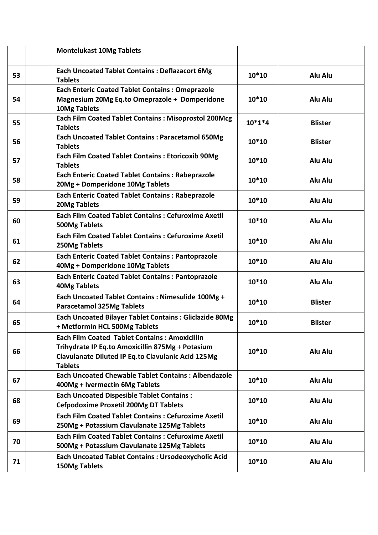|    | <b>Montelukast 10Mg Tablets</b>                                                                                                                                                  |          |                |
|----|----------------------------------------------------------------------------------------------------------------------------------------------------------------------------------|----------|----------------|
| 53 | <b>Each Uncoated Tablet Contains: Deflazacort 6Mg</b><br><b>Tablets</b>                                                                                                          | $10*10$  | Alu Alu        |
| 54 | <b>Each Enteric Coated Tablet Contains: Omeprazole</b><br>Magnesium 20Mg Eq.to Omeprazole + Domperidone<br>10Mg Tablets                                                          | $10*10$  | Alu Alu        |
| 55 | Each Film Coated Tablet Contains : Misoprostol 200Mcg<br><b>Tablets</b>                                                                                                          | $10*1*4$ | <b>Blister</b> |
| 56 | <b>Each Uncoated Tablet Contains: Paracetamol 650Mg</b><br><b>Tablets</b>                                                                                                        | $10*10$  | <b>Blister</b> |
| 57 | <b>Each Film Coated Tablet Contains: Etoricoxib 90Mg</b><br><b>Tablets</b>                                                                                                       | $10*10$  | Alu Alu        |
| 58 | <b>Each Enteric Coated Tablet Contains: Rabeprazole</b><br>20Mg + Domperidone 10Mg Tablets                                                                                       | $10*10$  | Alu Alu        |
| 59 | <b>Each Enteric Coated Tablet Contains: Rabeprazole</b><br><b>20Mg Tablets</b>                                                                                                   | $10*10$  | Alu Alu        |
| 60 | <b>Each Film Coated Tablet Contains: Cefuroxime Axetil</b><br><b>500Mg Tablets</b>                                                                                               | $10*10$  | Alu Alu        |
| 61 | <b>Each Film Coated Tablet Contains: Cefuroxime Axetil</b><br>250Mg Tablets                                                                                                      | $10*10$  | Alu Alu        |
| 62 | <b>Each Enteric Coated Tablet Contains: Pantoprazole</b><br>40Mg + Domperidone 10Mg Tablets                                                                                      | $10*10$  | Alu Alu        |
| 63 | <b>Each Enteric Coated Tablet Contains: Pantoprazole</b><br><b>40Mg Tablets</b>                                                                                                  | 10*10    | Alu Alu        |
| 64 | Each Uncoated Tablet Contains : Nimesulide 100Mg +<br><b>Paracetamol 325Mg Tablets</b>                                                                                           | $10*10$  | <b>Blister</b> |
| 65 | <b>Each Uncoated Bilayer Tablet Contains: Gliclazide 80Mg</b><br>+ Metformin HCL 500Mg Tablets                                                                                   | 10*10    | <b>Blister</b> |
| 66 | <b>Each Film Coated Tablet Contains: Amoxicillin</b><br>Trihydrate IP Eq.to Amoxicillin 875Mg + Potasium<br>Clavulanate Diluted IP Eq.to Clavulanic Acid 125Mg<br><b>Tablets</b> | $10*10$  | Alu Alu        |
| 67 | <b>Each Uncoated Chewable Tablet Contains: Albendazole</b><br>400Mg + Ivermectin 6Mg Tablets                                                                                     | $10*10$  | Alu Alu        |
| 68 | <b>Each Uncoated Dispesible Tablet Contains:</b><br><b>Cefpodoxime Proxetil 200Mg DT Tablets</b>                                                                                 | $10*10$  | Alu Alu        |
| 69 | <b>Each Film Coated Tablet Contains: Cefuroxime Axetil</b><br>250Mg + Potassium Clavulanate 125Mg Tablets                                                                        | $10*10$  | Alu Alu        |
| 70 | <b>Each Film Coated Tablet Contains: Cefuroxime Axetil</b><br>500Mg + Potassium Clavulanate 125Mg Tablets                                                                        | $10*10$  | Alu Alu        |
| 71 | <b>Each Uncoated Tablet Contains: Ursodeoxycholic Acid</b><br><b>150Mg Tablets</b>                                                                                               | $10*10$  | Alu Alu        |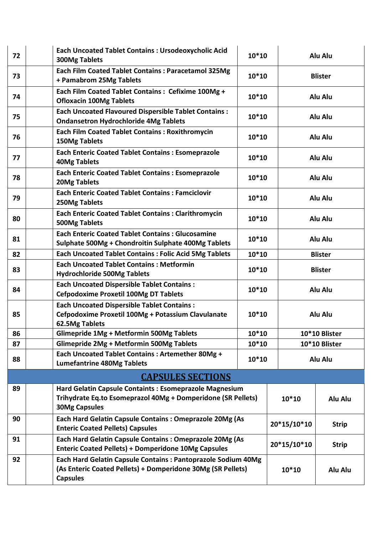| 72                       | <b>Each Uncoated Tablet Contains: Ursodeoxycholic Acid</b><br><b>300Mg Tablets</b>                                        | $10*10$                                                                                                                      |             |                | Alu Alu        |  |
|--------------------------|---------------------------------------------------------------------------------------------------------------------------|------------------------------------------------------------------------------------------------------------------------------|-------------|----------------|----------------|--|
| 73                       | Each Film Coated Tablet Contains : Paracetamol 325Mg<br>+ Pamabrom 25Mg Tablets                                           | $10*10$                                                                                                                      |             |                | <b>Blister</b> |  |
| 74                       | Each Film Coated Tablet Contains : Cefixime 100Mg +<br><b>Ofloxacin 100Mg Tablets</b>                                     | $10*10$                                                                                                                      |             |                | Alu Alu        |  |
| 75                       | <b>Each Uncoated Flavoured Dispersible Tablet Contains:</b><br><b>Ondansetron Hydrochloride 4Mg Tablets</b>               | 10*10                                                                                                                        |             |                | Alu Alu        |  |
| 76                       | <b>Each Film Coated Tablet Contains: Roxithromycin</b><br>150Mg Tablets                                                   | $10*10$                                                                                                                      |             |                | Alu Alu        |  |
| 77                       | <b>Each Enteric Coated Tablet Contains: Esomeprazole</b><br><b>40Mg Tablets</b>                                           | $10*10$                                                                                                                      |             | Alu Alu        |                |  |
| 78                       | <b>Each Enteric Coated Tablet Contains: Esomeprazole</b><br><b>20Mg Tablets</b>                                           | $10*10$                                                                                                                      |             |                | Alu Alu        |  |
| 79                       | <b>Each Enteric Coated Tablet Contains: Famciclovir</b><br>250Mg Tablets                                                  | $10*10$                                                                                                                      |             | Alu Alu        |                |  |
| 80                       | <b>Each Enteric Coated Tablet Contains: Clarithromycin</b><br>500Mg Tablets                                               | $10*10$                                                                                                                      |             | Alu Alu        |                |  |
| 81                       | <b>Each Enteric Coated Tablet Contains: Glucosamine</b><br>Sulphate 500Mg + Chondroitin Sulphate 400Mg Tablets            | 10*10                                                                                                                        |             | Alu Alu        |                |  |
| 82                       | <b>Each Uncoated Tablet Contains: Folic Acid 5Mg Tablets</b>                                                              | $10*10$                                                                                                                      |             |                | <b>Blister</b> |  |
| 83                       | <b>Each Uncoated Tablet Contains: Metformin</b><br><b>Hydrochloride 500Mg Tablets</b>                                     | 10*10                                                                                                                        |             | <b>Blister</b> |                |  |
| 84                       | <b>Each Uncoated Dispersible Tablet Contains:</b><br><b>Cefpodoxime Proxetil 100Mg DT Tablets</b>                         | 10*10                                                                                                                        |             | Alu Alu        |                |  |
| 85                       | <b>Each Uncoated Dispersible Tablet Contains:</b><br>Cefpodoxime Proxetil 100Mg + Potassium Clavulanate<br>62.5Mg Tablets | 10*10                                                                                                                        |             | Alu Alu        |                |  |
| 86                       | Glimepride 1Mg + Metformin 500Mg Tablets                                                                                  | $10*10$                                                                                                                      |             | 10*10 Blister  |                |  |
| 87                       | Glimepride 2Mg + Metformin 500Mg Tablets                                                                                  | $10*10$                                                                                                                      |             | 10*10 Blister  |                |  |
| 88                       | Each Uncoated Tablet Contains: Artemether 80Mg +<br><b>Lumefantrine 480Mg Tablets</b>                                     | $10*10$                                                                                                                      |             | Alu Alu        |                |  |
| <b>CAPSULES SECTIONS</b> |                                                                                                                           |                                                                                                                              |             |                |                |  |
| 89                       | Hard Gelatin Capsule Containts : Esomeprazole Magnesium                                                                   |                                                                                                                              |             |                |                |  |
|                          | Trihydrate Eq.to Esomeprazol 40Mg + Domperidone (SR Pellets)<br><b>30Mg Capsules</b>                                      |                                                                                                                              |             | $10*10$        | Alu Alu        |  |
| 90                       | Each Hard Gelatin Capsule Contains : Omeprazole 20Mg (As<br><b>Enteric Coated Pellets) Capsules</b>                       |                                                                                                                              | 20*15/10*10 |                | <b>Strip</b>   |  |
| 91                       | Each Hard Gelatin Capsule Contains: Omeprazole 20Mg (As<br><b>Enteric Coated Pellets) + Domperidone 10Mg Capsules</b>     |                                                                                                                              | 20*15/10*10 |                | <b>Strip</b>   |  |
| 92                       | <b>Capsules</b>                                                                                                           | Each Hard Gelatin Capsule Contains : Pantoprazole Sodium 40Mg<br>(As Enteric Coated Pellets) + Domperidone 30Mg (SR Pellets) |             | $10*10$        | Alu Alu        |  |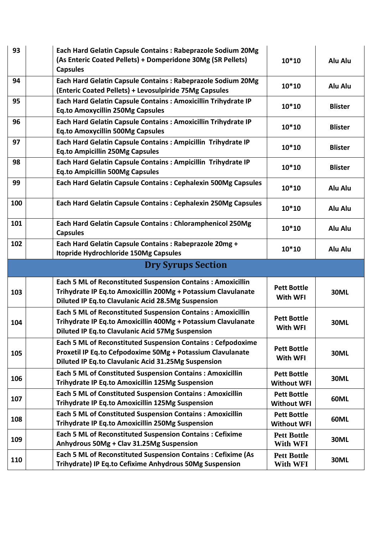| 93  | Each Hard Gelatin Capsule Contains : Rabeprazole Sodium 20Mg<br>(As Enteric Coated Pellets) + Domperidone 30Mg (SR Pellets)<br><b>Capsules</b>                                                   | $10*10$                                  | Alu Alu        |
|-----|--------------------------------------------------------------------------------------------------------------------------------------------------------------------------------------------------|------------------------------------------|----------------|
| 94  | Each Hard Gelatin Capsule Contains: Rabeprazole Sodium 20Mg<br>(Enteric Coated Pellets) + Levosulpiride 75Mg Capsules                                                                            | $10*10$                                  | Alu Alu        |
| 95  | Each Hard Gelatin Capsule Contains: Amoxicillin Trihydrate IP<br><b>Eq.to Amoxycillin 250Mg Capsules</b>                                                                                         | 10*10                                    | <b>Blister</b> |
| 96  | Each Hard Gelatin Capsule Contains : Amoxicillin Trihydrate IP<br><b>Eq.to Amoxycillin 500Mg Capsules</b>                                                                                        | 10*10                                    | <b>Blister</b> |
| 97  | Each Hard Gelatin Capsule Contains : Ampicillin Trihydrate IP<br><b>Eq.to Ampicillin 250Mg Capsules</b>                                                                                          | 10*10                                    | <b>Blister</b> |
| 98  | Each Hard Gelatin Capsule Contains : Ampicillin Trihydrate IP<br><b>Eq.to Ampicillin 500Mg Capsules</b>                                                                                          | 10*10                                    | <b>Blister</b> |
| 99  | Each Hard Gelatin Capsule Contains: Cephalexin 500Mg Capsules                                                                                                                                    | 10*10                                    | Alu Alu        |
| 100 | <b>Each Hard Gelatin Capsule Contains: Cephalexin 250Mg Capsules</b>                                                                                                                             | 10*10                                    | Alu Alu        |
| 101 | Each Hard Gelatin Capsule Contains: Chloramphenicol 250Mg<br><b>Capsules</b>                                                                                                                     | $10*10$                                  | Alu Alu        |
| 102 | Each Hard Gelatin Capsule Contains : Rabeprazole 20mg +<br><b>Itopride Hydrochloride 150Mg Capsules</b>                                                                                          | $10*10$                                  | Alu Alu        |
|     |                                                                                                                                                                                                  |                                          |                |
|     | <b>Dry Syrups Section</b>                                                                                                                                                                        |                                          |                |
| 103 | <b>Each 5 ML of Reconstituted Suspension Contains: Amoxicillin</b><br>Trihydrate IP Eq.to Amoxicillin 200Mg + Potassium Clavulanate<br><b>Diluted IP Eq.to Clavulanic Acid 28.5Mg Suspension</b> | <b>Pett Bottle</b><br>With WFI           | <b>30ML</b>    |
| 104 | <b>Each 5 ML of Reconstituted Suspension Contains: Amoxicillin</b><br>Trihydrate IP Eq.to Amoxicillin 400Mg + Potassium Clavulanate<br><b>Diluted IP Eq.to Clavulanic Acid 57Mg Suspension</b>   | <b>Pett Bottle</b><br>With WFI           | <b>30ML</b>    |
| 105 | <b>Each 5 ML of Reconstituted Suspension Contains: Cefpodoxime</b><br>Proxetil IP Eq.to Cefpodoxime 50Mg + Potassium Clavulanate<br>Diluted IP Eq.to Clavulanic Acid 31.25Mg Suspension          | <b>Pett Bottle</b><br>With WFI           | <b>30ML</b>    |
| 106 | Each 5 ML of Constituted Suspension Contains : Amoxicillin<br>Trihydrate IP Eq.to Amoxicillin 125Mg Suspension                                                                                   | <b>Pett Bottle</b><br><b>Without WFI</b> | <b>30ML</b>    |
| 107 | <b>Each 5 ML of Constituted Suspension Contains: Amoxicillin</b><br>Trihydrate IP Eq.to Amoxicillin 125Mg Suspension                                                                             | <b>Pett Bottle</b><br><b>Without WFI</b> | <b>60ML</b>    |
| 108 | <b>Each 5 ML of Constituted Suspension Contains: Amoxicillin</b><br>Trihydrate IP Eq.to Amoxicillin 250Mg Suspension                                                                             | <b>Pett Bottle</b><br><b>Without WFI</b> | <b>60ML</b>    |
| 109 | <b>Each 5 ML of Reconstituted Suspension Contains: Cefixime</b><br>Anhydrous 50Mg + Clav 31.25Mg Suspension                                                                                      | <b>Pett Bottle</b><br>With WFI           | <b>30ML</b>    |